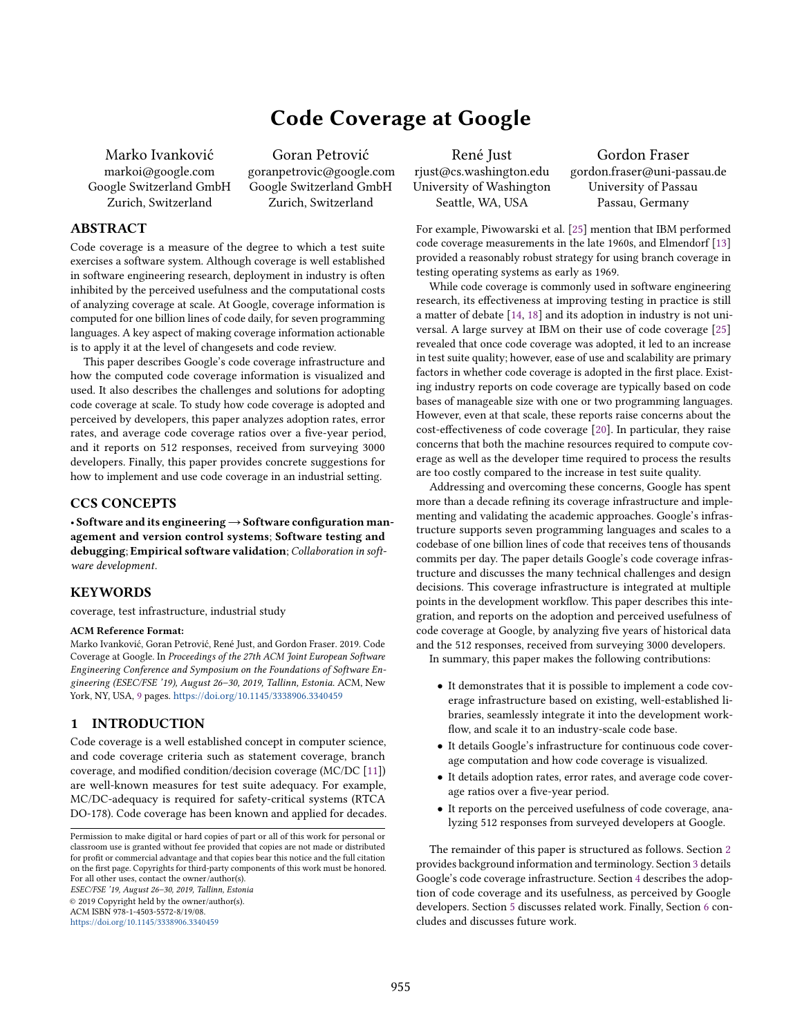# Code Coverage at Google

Marko Ivanković markoi@google.com Google Switzerland GmbH Zurich, Switzerland

Goran Petrović goranpetrovic@google.com Google Switzerland GmbH Zurich, Switzerland

# ABSTRACT

Code coverage is a measure of the degree to which a test suite exercises a software system. Although coverage is well established in software engineering research, deployment in industry is often inhibited by the perceived usefulness and the computational costs of analyzing coverage at scale. At Google, coverage information is computed for one billion lines of code daily, for seven programming languages. A key aspect of making coverage information actionable is to apply it at the level of changesets and code review.

This paper describes Google's code coverage infrastructure and how the computed code coverage information is visualized and used. It also describes the challenges and solutions for adopting code coverage at scale. To study how code coverage is adopted and perceived by developers, this paper analyzes adoption rates, error rates, and average code coverage ratios over a five-year period, and it reports on 512 responses, received from surveying 3000 developers. Finally, this paper provides concrete suggestions for how to implement and use code coverage in an industrial setting.

# CCS CONCEPTS

• Software and its engineering→Software configuration management and version control systems; Software testing and debugging; Empirical software validation; Collaboration in software development.

# **KEYWORDS**

coverage, test infrastructure, industrial study

# ACM Reference Format:

Marko Ivanković, Goran Petrović, René Just, and Gordon Fraser. 2019. Code Coverage at Google. In Proceedings of the 27th ACM Joint European Software Engineering Conference and Symposium on the Foundations of Software Engineering (ESEC/FSE '19), August 26–30, 2019, Tallinn, Estonia. ACM, New York, NY, USA, [9](#page-8-0) pages. <https://doi.org/10.1145/3338906.3340459>

# 1 INTRODUCTION

Code coverage is a well established concept in computer science, and code coverage criteria such as statement coverage, branch coverage, and modified condition/decision coverage (MC/DC [\[11\]](#page-7-0)) are well-known measures for test suite adequacy. For example, MC/DC-adequacy is required for safety-critical systems (RTCA DO-178). Code coverage has been known and applied for decades.

ESEC/FSE '19, August 26–30, 2019, Tallinn, Estonia © 2019 Copyright held by the owner/author(s).

ACM ISBN 978-1-4503-5572-8/19/08.

<https://doi.org/10.1145/3338906.3340459>

René Just rjust@cs.washington.edu University of Washington Seattle, WA, USA

Gordon Fraser gordon.fraser@uni-passau.de University of Passau Passau, Germany

For example, Piwowarski et al. [\[25\]](#page-8-1) mention that IBM performed code coverage measurements in the late 1960s, and Elmendorf [\[13\]](#page-7-1) provided a reasonably robust strategy for using branch coverage in testing operating systems as early as 1969.

While code coverage is commonly used in software engineering research, its effectiveness at improving testing in practice is still a matter of debate [\[14,](#page-7-2) [18\]](#page-7-3) and its adoption in industry is not universal. A large survey at IBM on their use of code coverage [\[25\]](#page-8-1) revealed that once code coverage was adopted, it led to an increase in test suite quality; however, ease of use and scalability are primary factors in whether code coverage is adopted in the first place. Existing industry reports on code coverage are typically based on code bases of manageable size with one or two programming languages. However, even at that scale, these reports raise concerns about the cost-effectiveness of code coverage [\[20\]](#page-8-2). In particular, they raise concerns that both the machine resources required to compute coverage as well as the developer time required to process the results are too costly compared to the increase in test suite quality.

Addressing and overcoming these concerns, Google has spent more than a decade refining its coverage infrastructure and implementing and validating the academic approaches. Google's infrastructure supports seven programming languages and scales to a codebase of one billion lines of code that receives tens of thousands commits per day. The paper details Google's code coverage infrastructure and discusses the many technical challenges and design decisions. This coverage infrastructure is integrated at multiple points in the development workflow. This paper describes this integration, and reports on the adoption and perceived usefulness of code coverage at Google, by analyzing five years of historical data and the 512 responses, received from surveying 3000 developers.

In summary, this paper makes the following contributions:

- It demonstrates that it is possible to implement a code coverage infrastructure based on existing, well-established libraries, seamlessly integrate it into the development workflow, and scale it to an industry-scale code base.
- It details Google's infrastructure for continuous code coverage computation and how code coverage is visualized.
- It details adoption rates, error rates, and average code coverage ratios over a five-year period.
- It reports on the perceived usefulness of code coverage, analyzing 512 responses from surveyed developers at Google.

The remainder of this paper is structured as follows. Section [2](#page-1-0) provides background information and terminology. Section [3](#page-2-0) details Google's code coverage infrastructure. Section [4](#page-4-0) describes the adoption of code coverage and its usefulness, as perceived by Google developers. Section [5](#page-6-0) discusses related work. Finally, Section [6](#page-7-4) concludes and discusses future work.

Permission to make digital or hard copies of part or all of this work for personal or classroom use is granted without fee provided that copies are not made or distributed for profit or commercial advantage and that copies bear this notice and the full citation on the first page. Copyrights for third-party components of this work must be honored. For all other uses, contact the owner/author(s).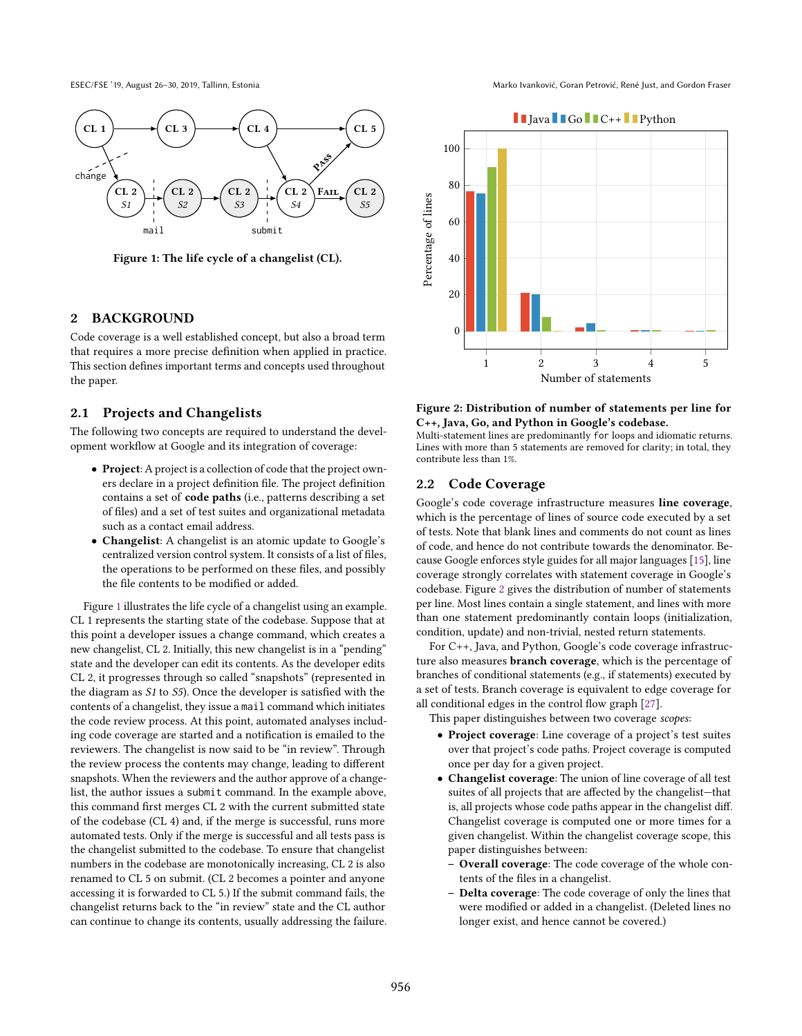<span id="page-1-1"></span>

Figure 1: The life cycle of a changelist (CL).

# <span id="page-1-0"></span>2 BACKGROUND

Code coverage is a well established concept, but also a broad term that requires a more precise definition when applied in practice. This section defines important terms and concepts used throughout the paper.

# 2.1 Projects and Changelists

The following two concepts are required to understand the development workflow at Google and its integration of coverage:

- Project: A project is a collection of code that the project owners declare in a project definition file. The project definition contains a set of code paths (i.e., patterns describing a set of files) and a set of test suites and organizational metadata such as a contact email address.
- Changelist: A changelist is an atomic update to Google's centralized version control system. It consists of a list of files, the operations to be performed on these files, and possibly the file contents to be modified or added.

Figure [1](#page-1-1) illustrates the life cycle of a changelist using an example. CL 1 represents the starting state of the codebase. Suppose that at this point a developer issues a change command, which creates a new changelist, CL 2. Initially, this new changelist is in a "pending" state and the developer can edit its contents. As the developer edits CL 2, it progresses through so called "snapshots" (represented in the diagram as S1 to S5). Once the developer is satisfied with the contents of a changelist, they issue a mail command which initiates the code review process. At this point, automated analyses including code coverage are started and a notification is emailed to the reviewers. The changelist is now said to be "in review". Through the review process the contents may change, leading to different snapshots. When the reviewers and the author approve of a changelist, the author issues a submit command. In the example above, this command first merges CL 2 with the current submitted state of the codebase (CL 4) and, if the merge is successful, runs more automated tests. Only if the merge is successful and all tests pass is the changelist submitted to the codebase. To ensure that changelist numbers in the codebase are monotonically increasing, CL 2 is also renamed to CL 5 on submit. (CL 2 becomes a pointer and anyone accessing it is forwarded to CL 5.) If the submit command fails, the changelist returns back to the "in review" state and the CL author can continue to change its contents, usually addressing the failure.

ESEC/FSE '19, August 26–30, 2019, Tallinn, Estonia Marko Ivanković, Goran Petrović, René Just, and Gordon Fraser

<span id="page-1-2"></span>

Figure 2: Distribution of number of statements per line for C++, Java, Go, and Python in Google's codebase.

Multi-statement lines are predominantly for loops and idiomatic returns. Lines with more than 5 statements are removed for clarity; in total, they contribute less than 1%.

# 2.2 Code Coverage

Google's code coverage infrastructure measures line coverage, which is the percentage of lines of source code executed by a set of tests. Note that blank lines and comments do not count as lines of code, and hence do not contribute towards the denominator. Because Google enforces style guides for all major languages [\[15\]](#page-7-5), line coverage strongly correlates with statement coverage in Google's codebase. Figure [2](#page-1-2) gives the distribution of number of statements per line. Most lines contain a single statement, and lines with more than one statement predominantly contain loops (initialization, condition, update) and non-trivial, nested return statements.

For C++, Java, and Python, Google's code coverage infrastructure also measures branch coverage, which is the percentage of branches of conditional statements (e.g., if statements) executed by a set of tests. Branch coverage is equivalent to edge coverage for all conditional edges in the control flow graph [\[27\]](#page-8-3).

This paper distinguishes between two coverage scopes:

- Project coverage: Line coverage of a project's test suites over that project's code paths. Project coverage is computed once per day for a given project.
- Changelist coverage: The union of line coverage of all test suites of all projects that are affected by the changelist—that is, all projects whose code paths appear in the changelist diff. Changelist coverage is computed one or more times for a given changelist. Within the changelist coverage scope, this paper distinguishes between:
	- Overall coverage: The code coverage of the whole contents of the files in a changelist.
	- Delta coverage: The code coverage of only the lines that were modified or added in a changelist. (Deleted lines no longer exist, and hence cannot be covered.)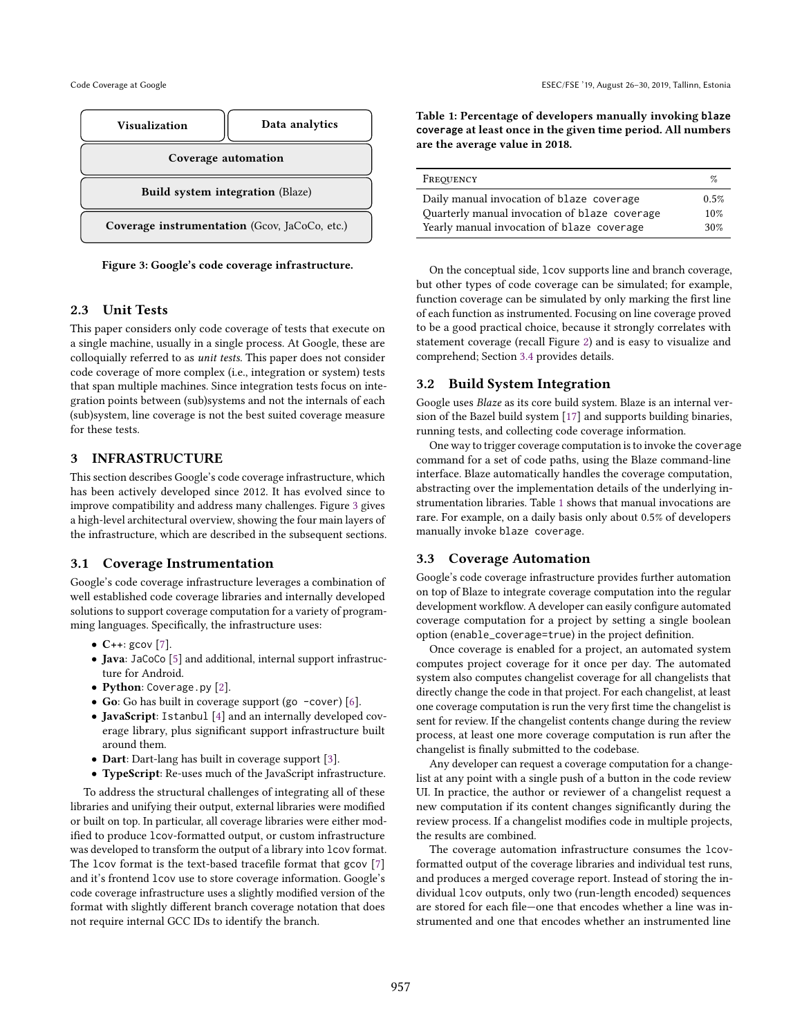<span id="page-2-1"></span>

Figure 3: Google's code coverage infrastructure.

# 2.3 Unit Tests

This paper considers only code coverage of tests that execute on a single machine, usually in a single process. At Google, these are colloquially referred to as unit tests. This paper does not consider code coverage of more complex (i.e., integration or system) tests that span multiple machines. Since integration tests focus on integration points between (sub)systems and not the internals of each (sub)system, line coverage is not the best suited coverage measure for these tests.

# <span id="page-2-0"></span>3 INFRASTRUCTURE

This section describes Google's code coverage infrastructure, which has been actively developed since 2012. It has evolved since to improve compatibility and address many challenges. Figure [3](#page-2-1) gives a high-level architectural overview, showing the four main layers of the infrastructure, which are described in the subsequent sections.

# 3.1 Coverage Instrumentation

Google's code coverage infrastructure leverages a combination of well established code coverage libraries and internally developed solutions to support coverage computation for a variety of programming languages. Specifically, the infrastructure uses:

- $C++:$  gcov [\[7\]](#page-7-6).
- Java: JaCoCo [\[5\]](#page-7-7) and additional, internal support infrastructure for Android.
- Python: Coverage.py [\[2\]](#page-7-8).
- Go: Go has built in coverage support (go -cover) [\[6\]](#page-7-9).
- JavaScript: Istanbul [\[4\]](#page-7-10) and an internally developed coverage library, plus significant support infrastructure built around them.
- Dart: Dart-lang has built in coverage support [\[3\]](#page-7-11).
- TypeScript: Re-uses much of the JavaScript infrastructure.

To address the structural challenges of integrating all of these libraries and unifying their output, external libraries were modified or built on top. In particular, all coverage libraries were either modified to produce lcov-formatted output, or custom infrastructure was developed to transform the output of a library into lcov format. The lcov format is the text-based tracefile format that gcov [\[7\]](#page-7-6) and it's frontend lcov use to store coverage information. Google's code coverage infrastructure uses a slightly modified version of the format with slightly different branch coverage notation that does not require internal GCC IDs to identify the branch.

<span id="page-2-2"></span>Table 1: Percentage of developers manually invoking **blaze coverage** at least once in the given time period. All numbers are the average value in 2018.

| FREQUENCY                                     | $\%$ |
|-----------------------------------------------|------|
| Daily manual invocation of blaze coverage     | 0.5% |
| Quarterly manual invocation of blaze coverage | 10%  |
| Yearly manual invocation of blaze coverage    | 30%  |

On the conceptual side, lcov supports line and branch coverage, but other types of code coverage can be simulated; for example, function coverage can be simulated by only marking the first line of each function as instrumented. Focusing on line coverage proved to be a good practical choice, because it strongly correlates with statement coverage (recall Figure [2\)](#page-1-2) and is easy to visualize and comprehend; Section [3.4](#page-3-0) provides details.

# 3.2 Build System Integration

Google uses Blaze as its core build system. Blaze is an internal version of the Bazel build system [\[17\]](#page-7-12) and supports building binaries, running tests, and collecting code coverage information.

One way to trigger coverage computation is to invoke the coverage command for a set of code paths, using the Blaze command-line interface. Blaze automatically handles the coverage computation, abstracting over the implementation details of the underlying instrumentation libraries. Table [1](#page-2-2) shows that manual invocations are rare. For example, on a daily basis only about 0.5% of developers manually invoke blaze coverage.

# <span id="page-2-3"></span>3.3 Coverage Automation

Google's code coverage infrastructure provides further automation on top of Blaze to integrate coverage computation into the regular development workflow. A developer can easily configure automated coverage computation for a project by setting a single boolean option (enable\_coverage=true) in the project definition.

Once coverage is enabled for a project, an automated system computes project coverage for it once per day. The automated system also computes changelist coverage for all changelists that directly change the code in that project. For each changelist, at least one coverage computation is run the very first time the changelist is sent for review. If the changelist contents change during the review process, at least one more coverage computation is run after the changelist is finally submitted to the codebase.

Any developer can request a coverage computation for a changelist at any point with a single push of a button in the code review UI. In practice, the author or reviewer of a changelist request a new computation if its content changes significantly during the review process. If a changelist modifies code in multiple projects, the results are combined.

The coverage automation infrastructure consumes the lcovformatted output of the coverage libraries and individual test runs, and produces a merged coverage report. Instead of storing the individual lcov outputs, only two (run-length encoded) sequences are stored for each file—one that encodes whether a line was instrumented and one that encodes whether an instrumented line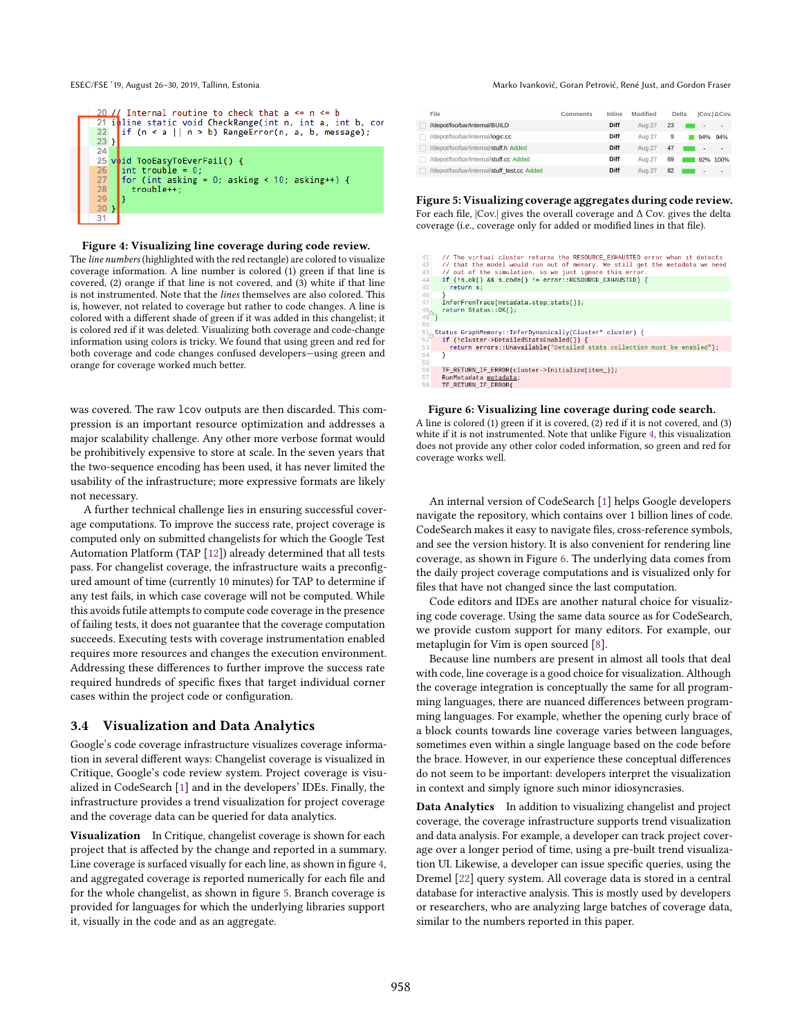<span id="page-3-1"></span>

#### Figure 4: Visualizing line coverage during code review.

The line numbers (highlighted with the red rectangle) are colored to visualize coverage information. A line number is colored (1) green if that line is covered, (2) orange if that line is not covered, and (3) white if that line is not instrumented. Note that the lines themselves are also colored. This is, however, not related to coverage but rather to code changes. A line is colored with a different shade of green if it was added in this changelist; it is colored red if it was deleted. Visualizing both coverage and code-change information using colors is tricky. We found that using green and red for both coverage and code changes confused developers—using green and orange for coverage worked much better.

was covered. The raw lcov outputs are then discarded. This compression is an important resource optimization and addresses a major scalability challenge. Any other more verbose format would be prohibitively expensive to store at scale. In the seven years that the two-sequence encoding has been used, it has never limited the usability of the infrastructure; more expressive formats are likely not necessary.

A further technical challenge lies in ensuring successful coverage computations. To improve the success rate, project coverage is computed only on submitted changelists for which the Google Test Automation Platform (TAP [\[12\]](#page-7-13)) already determined that all tests pass. For changelist coverage, the infrastructure waits a preconfigured amount of time (currently 10 minutes) for TAP to determine if any test fails, in which case coverage will not be computed. While this avoids futile attempts to compute code coverage in the presence of failing tests, it does not guarantee that the coverage computation succeeds. Executing tests with coverage instrumentation enabled requires more resources and changes the execution environment. Addressing these differences to further improve the success rate required hundreds of specific fixes that target individual corner cases within the project code or configuration.

### <span id="page-3-0"></span>3.4 Visualization and Data Analytics

Google's code coverage infrastructure visualizes coverage information in several different ways: Changelist coverage is visualized in Critique, Google's code review system. Project coverage is visualized in CodeSearch [\[1\]](#page-7-14) and in the developers' IDEs. Finally, the infrastructure provides a trend visualization for project coverage and the coverage data can be queried for data analytics.

Visualization In Critique, changelist coverage is shown for each project that is affected by the change and reported in a summary. Line coverage is surfaced visually for each line, as shown in figure [4,](#page-3-1) and aggregated coverage is reported numerically for each file and for the whole changelist, as shown in figure [5.](#page-3-2) Branch coverage is provided for languages for which the underlying libraries support it, visually in the code and as an aggregate.

#### ESEC/FSE '19, August 26–30, 2019, Tallinn, Estonia Marko Ivanković, Goran Petrović, René Just, and Gordon Fraser

<span id="page-3-2"></span>

| File                                         | Comments | Inline | Modified |    | <b>Delta</b> | ICov.I∆Cov.              |
|----------------------------------------------|----------|--------|----------|----|--------------|--------------------------|
| //depot/foo/bar/internal/BUILD               |          | Diff   | Aug 27   | 23 | ۰            | ٠                        |
| //depot/foo/bar/internal/ <b>logic.cc</b>    |          | Diff   | Aug 27   | 9  | 94%          | 94%                      |
| //depot/foo/bar/internal/stuff.h Added       |          | Diff   | Aug 27   | 47 | ٠            | $\overline{\phantom{a}}$ |
| //depot/foo/bar/internal/stuff.cc Added      |          | Diff   | Aug 27   | 69 |              | 92% 100%                 |
| //depot/foo/bar/internal/stuff_test.cc_Added |          | Diff   | Aug 27   | 82 | -            | $\overline{\phantom{a}}$ |

# Figure 5: Visualizing coverage aggregates during code review.

For each file, |Cov.| gives the overall coverage and ∆ Cov. gives the delta coverage (i.e., coverage only for added or modified lines in that file).

<span id="page-3-3"></span>

| 11.             | // The virtual cluster returns the RESOURCE_EXHAUSTED error when it detects                                          |
|-----------------|----------------------------------------------------------------------------------------------------------------------|
| $12-12$         | // that the model would run out of memory. We still get the metadata we need                                         |
| 13              | // out of the simulation, so we just ignore this error.                                                              |
| $^{14}$         | if (!s.ok() && s.code() != error::RESOURCE EXHAUSTED) {                                                              |
| 15              | return s:                                                                                                            |
| 6               |                                                                                                                      |
| 17 <sup>1</sup> | InferFromTrace(metadata.step stats());                                                                               |
|                 | return Status:: OK();                                                                                                |
| $^{18}_{19}$ }  |                                                                                                                      |
| 50              |                                                                                                                      |
|                 | il_Status GraphMemory::InferDynamically(Cluster* cluster) {<br><sup>52</sup> if (!cluster->DetailedStatsEnabled()) { |
|                 |                                                                                                                      |
| 53              | return errors::Unavailable("Detailed stats collection must be enabled");                                             |
| 54              | ł                                                                                                                    |
| 55              |                                                                                                                      |
| 56              | TF_RETURN_IF_ERROR(cluster->Initialize(item_));                                                                      |
| 57              | RunMetadata metadata;                                                                                                |
| 58              | TF RETURN IF ERROR(                                                                                                  |
|                 |                                                                                                                      |

#### Figure 6: Visualizing line coverage during code search.

A line is colored (1) green if it is covered, (2) red if it is not covered, and (3) white if it is not instrumented. Note that unlike Figure [4,](#page-3-1) this visualization does not provide any other color coded information, so green and red for coverage works well.

An internal version of CodeSearch [\[1\]](#page-7-14) helps Google developers navigate the repository, which contains over 1 billion lines of code. CodeSearch makes it easy to navigate files, cross-reference symbols, and see the version history. It is also convenient for rendering line coverage, as shown in Figure [6.](#page-3-3) The underlying data comes from the daily project coverage computations and is visualized only for files that have not changed since the last computation.

Code editors and IDEs are another natural choice for visualizing code coverage. Using the same data source as for CodeSearch, we provide custom support for many editors. For example, our metaplugin for Vim is open sourced [\[8\]](#page-7-15).

Because line numbers are present in almost all tools that deal with code, line coverage is a good choice for visualization. Although the coverage integration is conceptually the same for all programming languages, there are nuanced differences between programming languages. For example, whether the opening curly brace of a block counts towards line coverage varies between languages, sometimes even within a single language based on the code before the brace. However, in our experience these conceptual differences do not seem to be important: developers interpret the visualization in context and simply ignore such minor idiosyncrasies.

Data Analytics In addition to visualizing changelist and project coverage, the coverage infrastructure supports trend visualization and data analysis. For example, a developer can track project coverage over a longer period of time, using a pre-built trend visualization UI. Likewise, a developer can issue specific queries, using the Dremel [\[22\]](#page-8-4) query system. All coverage data is stored in a central database for interactive analysis. This is mostly used by developers or researchers, who are analyzing large batches of coverage data, similar to the numbers reported in this paper.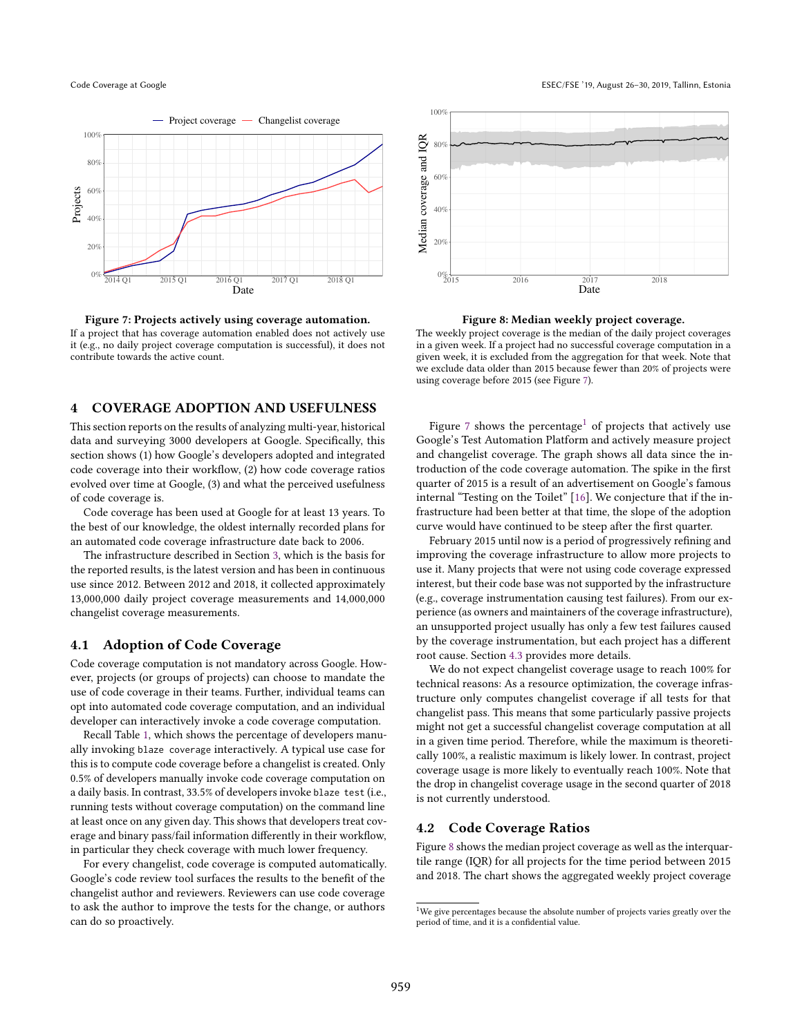<span id="page-4-1"></span>

Figure 7: Projects actively using coverage automation. If a project that has coverage automation enabled does not actively use it (e.g., no daily project coverage computation is successful), it does not contribute towards the active count.

# <span id="page-4-0"></span>4 COVERAGE ADOPTION AND USEFULNESS

This section reports on the results of analyzing multi-year, historical data and surveying 3000 developers at Google. Specifically, this section shows (1) how Google's developers adopted and integrated code coverage into their workflow, (2) how code coverage ratios evolved over time at Google, (3) and what the perceived usefulness of code coverage is.

Code coverage has been used at Google for at least 13 years. To the best of our knowledge, the oldest internally recorded plans for an automated code coverage infrastructure date back to 2006.

The infrastructure described in Section [3,](#page-2-0) which is the basis for the reported results, is the latest version and has been in continuous use since 2012. Between 2012 and 2018, it collected approximately 13,000,000 daily project coverage measurements and 14,000,000 changelist coverage measurements.

# 4.1 Adoption of Code Coverage

Code coverage computation is not mandatory across Google. However, projects (or groups of projects) can choose to mandate the use of code coverage in their teams. Further, individual teams can opt into automated code coverage computation, and an individual developer can interactively invoke a code coverage computation.

Recall Table [1,](#page-2-2) which shows the percentage of developers manually invoking blaze coverage interactively. A typical use case for this is to compute code coverage before a changelist is created. Only 0.5% of developers manually invoke code coverage computation on a daily basis. In contrast, 33.5% of developers invoke blaze test (i.e., running tests without coverage computation) on the command line at least once on any given day. This shows that developers treat coverage and binary pass/fail information differently in their workflow, in particular they check coverage with much lower frequency.

For every changelist, code coverage is computed automatically. Google's code review tool surfaces the results to the benefit of the changelist author and reviewers. Reviewers can use code coverage to ask the author to improve the tests for the change, or authors can do so proactively.

<span id="page-4-3"></span>

Figure 8: Median weekly project coverage.

The weekly project coverage is the median of the daily project coverages in a given week. If a project had no successful coverage computation in a given week, it is excluded from the aggregation for that week. Note that we exclude data older than 2015 because fewer than 20% of projects were using coverage before 2015 (see Figure [7\)](#page-4-1).

Figure [7](#page-4-1) shows the percentage<sup>[1](#page-4-2)</sup> of projects that actively use Google's Test Automation Platform and actively measure project and changelist coverage. The graph shows all data since the introduction of the code coverage automation. The spike in the first quarter of 2015 is a result of an advertisement on Google's famous internal "Testing on the Toilet" [\[16\]](#page-7-16). We conjecture that if the infrastructure had been better at that time, the slope of the adoption curve would have continued to be steep after the first quarter.

February 2015 until now is a period of progressively refining and improving the coverage infrastructure to allow more projects to use it. Many projects that were not using code coverage expressed interest, but their code base was not supported by the infrastructure (e.g., coverage instrumentation causing test failures). From our experience (as owners and maintainers of the coverage infrastructure), an unsupported project usually has only a few test failures caused by the coverage instrumentation, but each project has a different root cause. Section [4.3](#page-5-0) provides more details.

We do not expect changelist coverage usage to reach 100% for technical reasons: As a resource optimization, the coverage infrastructure only computes changelist coverage if all tests for that changelist pass. This means that some particularly passive projects might not get a successful changelist coverage computation at all in a given time period. Therefore, while the maximum is theoretically 100%, a realistic maximum is likely lower. In contrast, project coverage usage is more likely to eventually reach 100%. Note that the drop in changelist coverage usage in the second quarter of 2018 is not currently understood.

# 4.2 Code Coverage Ratios

Figure [8](#page-4-3) shows the median project coverage as well as the interquartile range (IQR) for all projects for the time period between 2015 and 2018. The chart shows the aggregated weekly project coverage

<span id="page-4-2"></span><sup>&</sup>lt;sup>1</sup>We give percentages because the absolute number of projects varies greatly over the period of time, and it is a confidential value.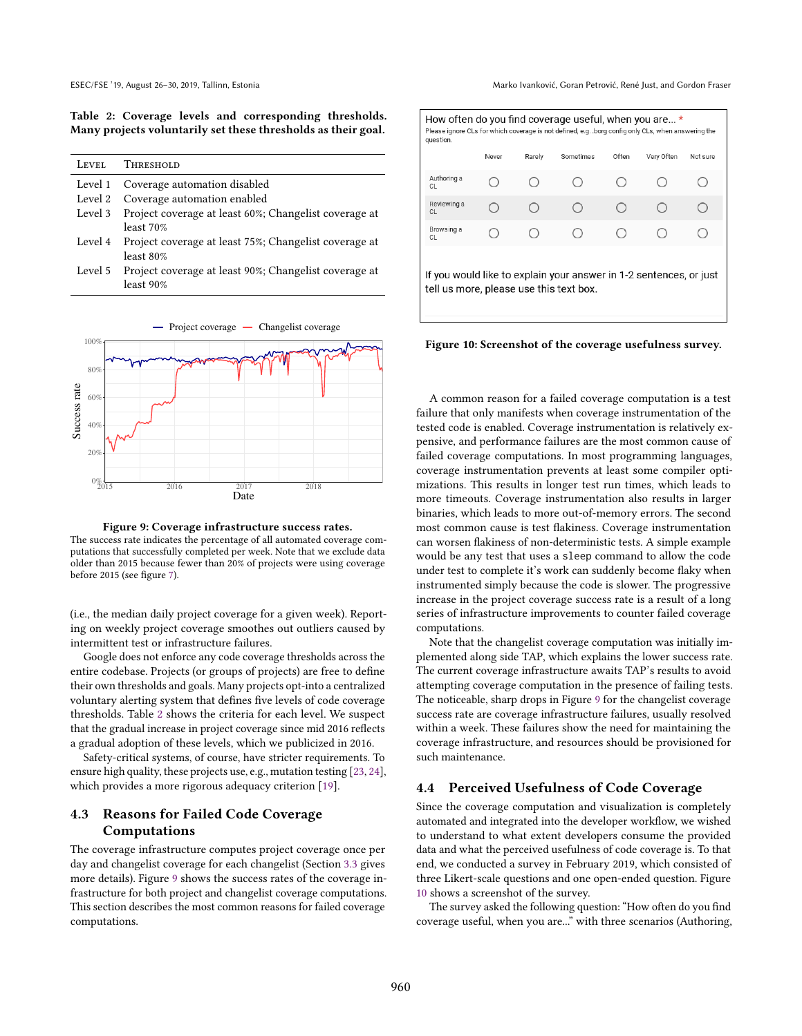<span id="page-5-1"></span>Table 2: Coverage levels and corresponding thresholds. Many projects voluntarily set these thresholds as their goal.

| <b>LEVEL</b> | <b>THRESHOLD</b>                                      |
|--------------|-------------------------------------------------------|
| Level 1      | Coverage automation disabled                          |
| Level 2      | Coverage automation enabled                           |
| Level 3      | Project coverage at least 60%; Changelist coverage at |
|              | least 70%                                             |
| Level 4      | Project coverage at least 75%; Changelist coverage at |
|              | least 80%                                             |
| Level 5      | Project coverage at least 90%; Changelist coverage at |
|              | least 90%                                             |

<span id="page-5-2"></span>

Figure 9: Coverage infrastructure success rates. The success rate indicates the percentage of all automated coverage computations that successfully completed per week. Note that we exclude data older than 2015 because fewer than 20% of projects were using coverage before 2015 (see figure [7\)](#page-4-1).

(i.e., the median daily project coverage for a given week). Reporting on weekly project coverage smoothes out outliers caused by intermittent test or infrastructure failures.

Google does not enforce any code coverage thresholds across the entire codebase. Projects (or groups of projects) are free to define their own thresholds and goals. Many projects opt-into a centralized voluntary alerting system that defines five levels of code coverage thresholds. Table [2](#page-5-1) shows the criteria for each level. We suspect that the gradual increase in project coverage since mid 2016 reflects a gradual adoption of these levels, which we publicized in 2016.

Safety-critical systems, of course, have stricter requirements. To ensure high quality, these projects use, e.g., mutation testing [\[23,](#page-8-5) [24\]](#page-8-6), which provides a more rigorous adequacy criterion [\[19\]](#page-8-7).

# <span id="page-5-0"></span>4.3 Reasons for Failed Code Coverage Computations

The coverage infrastructure computes project coverage once per day and changelist coverage for each changelist (Section [3.3](#page-2-3) gives more details). Figure [9](#page-5-2) shows the success rates of the coverage infrastructure for both project and changelist coverage computations. This section describes the most common reasons for failed coverage computations.

<span id="page-5-3"></span>

| How often do you find coverage useful, when you are *<br>Please ignore CLs for which coverage is not defined, e.g. .borg config only CLs, when answering the<br>question. |       |        |           |       |            |          |
|---------------------------------------------------------------------------------------------------------------------------------------------------------------------------|-------|--------|-----------|-------|------------|----------|
|                                                                                                                                                                           | Never | Rarely | Sometimes | Often | Very Often | Not sure |
| Authoring a<br>CI.                                                                                                                                                        |       |        |           |       |            |          |
| Reviewing a<br><b>CL</b>                                                                                                                                                  |       |        |           |       |            |          |
| Browsing a<br>CI.                                                                                                                                                         |       |        |           |       |            |          |
| If you would like to explain your answer in 1-2 sentences, or just<br>tell us more, please use this text box.                                                             |       |        |           |       |            |          |

Figure 10: Screenshot of the coverage usefulness survey.

A common reason for a failed coverage computation is a test failure that only manifests when coverage instrumentation of the tested code is enabled. Coverage instrumentation is relatively expensive, and performance failures are the most common cause of failed coverage computations. In most programming languages, coverage instrumentation prevents at least some compiler optimizations. This results in longer test run times, which leads to more timeouts. Coverage instrumentation also results in larger binaries, which leads to more out-of-memory errors. The second most common cause is test flakiness. Coverage instrumentation can worsen flakiness of non-deterministic tests. A simple example would be any test that uses a sleep command to allow the code under test to complete it's work can suddenly become flaky when instrumented simply because the code is slower. The progressive increase in the project coverage success rate is a result of a long series of infrastructure improvements to counter failed coverage computations.

Note that the changelist coverage computation was initially implemented along side TAP, which explains the lower success rate. The current coverage infrastructure awaits TAP's results to avoid attempting coverage computation in the presence of failing tests. The noticeable, sharp drops in Figure [9](#page-5-2) for the changelist coverage success rate are coverage infrastructure failures, usually resolved within a week. These failures show the need for maintaining the coverage infrastructure, and resources should be provisioned for such maintenance.

# 4.4 Perceived Usefulness of Code Coverage

Since the coverage computation and visualization is completely automated and integrated into the developer workflow, we wished to understand to what extent developers consume the provided data and what the perceived usefulness of code coverage is. To that end, we conducted a survey in February 2019, which consisted of three Likert-scale questions and one open-ended question. Figure [10](#page-5-3) shows a screenshot of the survey.

The survey asked the following question: "How often do you find coverage useful, when you are..." with three scenarios (Authoring,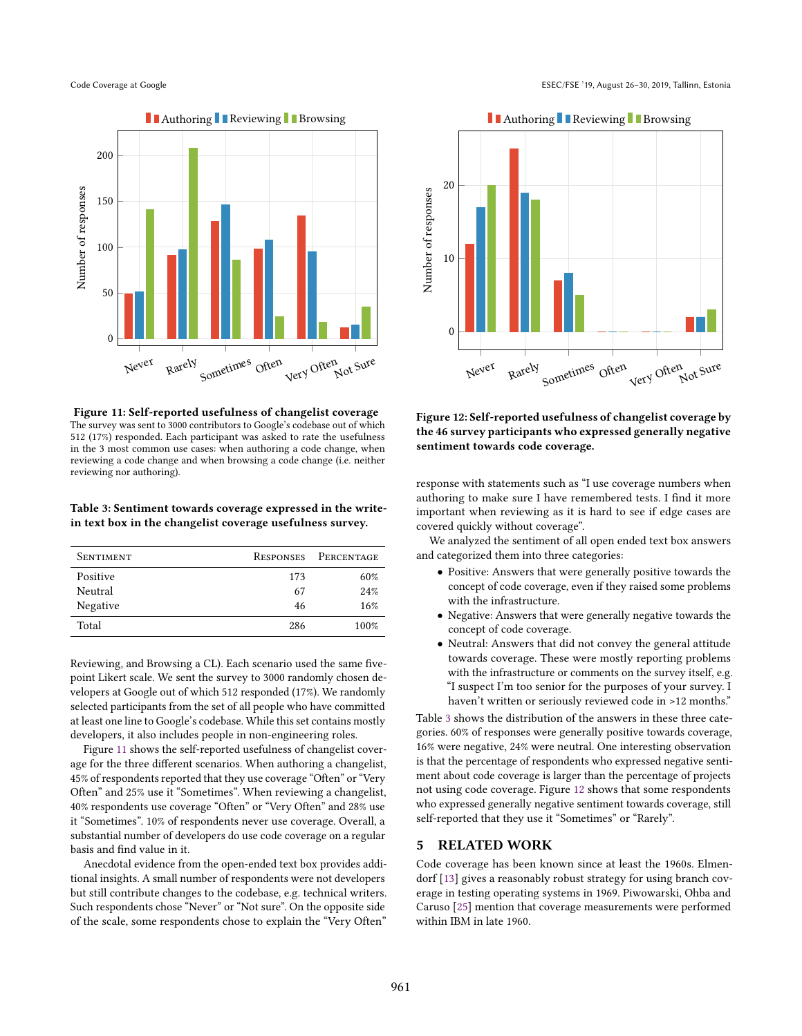<span id="page-6-1"></span>

Figure 11: Self-reported usefulness of changelist coverage The survey was sent to 3000 contributors to Google's codebase out of which 512 (17%) responded. Each participant was asked to rate the usefulness in the 3 most common use cases: when authoring a code change, when reviewing a code change and when browsing a code change (i.e. neither reviewing nor authoring).

# <span id="page-6-2"></span>Table 3: Sentiment towards coverage expressed in the writein text box in the changelist coverage usefulness survey.

| <b>SENTIMENT</b> |     | RESPONSES PERCENTAGE |
|------------------|-----|----------------------|
| Positive         | 173 | 60%                  |
| Neutral          | 67  | 24%                  |
| Negative         | 46  | 16%                  |
| Total            | 286 | 100%                 |

Reviewing, and Browsing a CL). Each scenario used the same fivepoint Likert scale. We sent the survey to 3000 randomly chosen developers at Google out of which 512 responded (17%). We randomly selected participants from the set of all people who have committed at least one line to Google's codebase. While this set contains mostly developers, it also includes people in non-engineering roles.

Figure [11](#page-6-1) shows the self-reported usefulness of changelist coverage for the three different scenarios. When authoring a changelist, 45% of respondents reported that they use coverage "Often" or "Very Often" and 25% use it "Sometimes". When reviewing a changelist, 40% respondents use coverage "Often" or "Very Often" and 28% use it "Sometimes". 10% of respondents never use coverage. Overall, a substantial number of developers do use code coverage on a regular basis and find value in it.

Anecdotal evidence from the open-ended text box provides additional insights. A small number of respondents were not developers but still contribute changes to the codebase, e.g. technical writers. Such respondents chose "Never" or "Not sure". On the opposite side of the scale, some respondents chose to explain the "Very Often"

<span id="page-6-3"></span>

Figure 12: Self-reported usefulness of changelist coverage by the 46 survey participants who expressed generally negative sentiment towards code coverage.

response with statements such as "I use coverage numbers when authoring to make sure I have remembered tests. I find it more important when reviewing as it is hard to see if edge cases are covered quickly without coverage".

We analyzed the sentiment of all open ended text box answers and categorized them into three categories:

- Positive: Answers that were generally positive towards the concept of code coverage, even if they raised some problems with the infrastructure.
- Negative: Answers that were generally negative towards the concept of code coverage.
- Neutral: Answers that did not convey the general attitude towards coverage. These were mostly reporting problems with the infrastructure or comments on the survey itself, e.g. "I suspect I'm too senior for the purposes of your survey. I haven't written or seriously reviewed code in >12 months."

Table [3](#page-6-2) shows the distribution of the answers in these three categories. 60% of responses were generally positive towards coverage, 16% were negative, 24% were neutral. One interesting observation is that the percentage of respondents who expressed negative sentiment about code coverage is larger than the percentage of projects not using code coverage. Figure [12](#page-6-3) shows that some respondents who expressed generally negative sentiment towards coverage, still self-reported that they use it "Sometimes" or "Rarely".

# <span id="page-6-0"></span>5 RELATED WORK

Code coverage has been known since at least the 1960s. Elmendorf [\[13\]](#page-7-1) gives a reasonably robust strategy for using branch coverage in testing operating systems in 1969. Piwowarski, Ohba and Caruso [\[25\]](#page-8-1) mention that coverage measurements were performed within IBM in late 1960.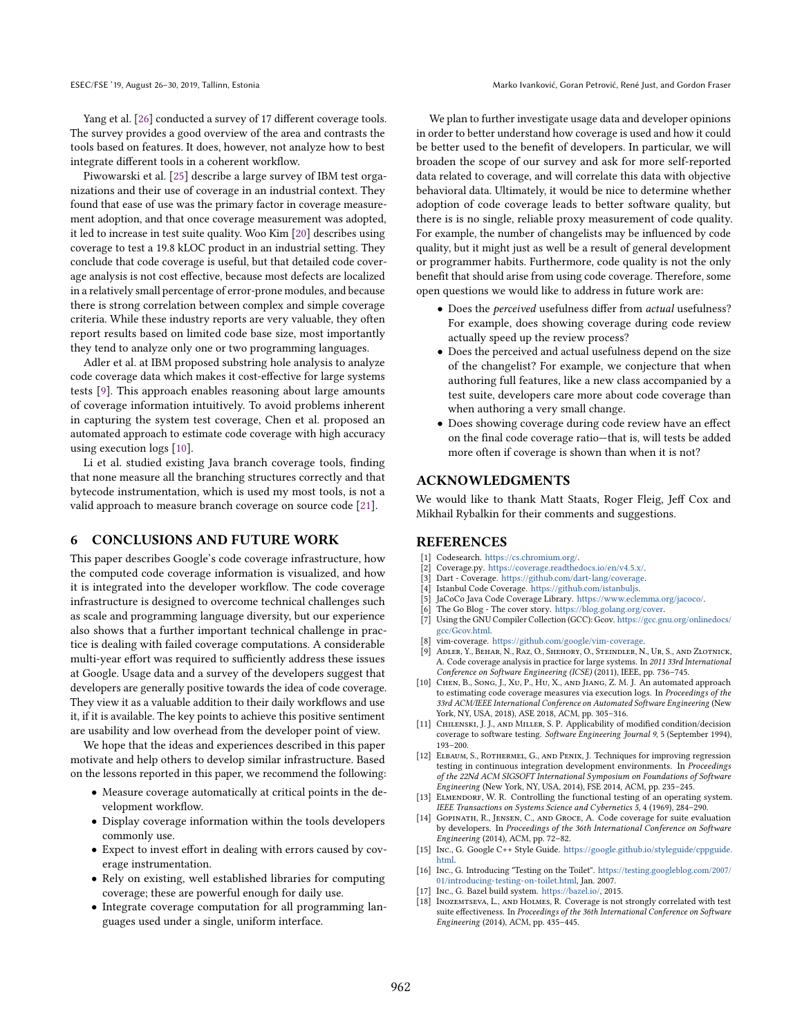ESEC/FSE '19, August 26–30, 2019, Tallinn, Estonia Marko Ivanković, Goran Petrović, René Just, and Gordon Fraser

Yang et al. [\[26\]](#page-8-8) conducted a survey of 17 different coverage tools. The survey provides a good overview of the area and contrasts the tools based on features. It does, however, not analyze how to best integrate different tools in a coherent workflow.

Piwowarski et al. [\[25\]](#page-8-1) describe a large survey of IBM test organizations and their use of coverage in an industrial context. They found that ease of use was the primary factor in coverage measurement adoption, and that once coverage measurement was adopted, it led to increase in test suite quality. Woo Kim [\[20\]](#page-8-2) describes using coverage to test a 19.8 kLOC product in an industrial setting. They conclude that code coverage is useful, but that detailed code coverage analysis is not cost effective, because most defects are localized in a relatively small percentage of error-prone modules, and because there is strong correlation between complex and simple coverage criteria. While these industry reports are very valuable, they often report results based on limited code base size, most importantly they tend to analyze only one or two programming languages.

Adler et al. at IBM proposed substring hole analysis to analyze code coverage data which makes it cost-effective for large systems tests [\[9\]](#page-7-17). This approach enables reasoning about large amounts of coverage information intuitively. To avoid problems inherent in capturing the system test coverage, Chen et al. proposed an automated approach to estimate code coverage with high accuracy using execution logs [\[10\]](#page-7-18).

Li et al. studied existing Java branch coverage tools, finding that none measure all the branching structures correctly and that bytecode instrumentation, which is used my most tools, is not a valid approach to measure branch coverage on source code [\[21\]](#page-8-9).

# <span id="page-7-4"></span>6 CONCLUSIONS AND FUTURE WORK

This paper describes Google's code coverage infrastructure, how the computed code coverage information is visualized, and how it is integrated into the developer workflow. The code coverage infrastructure is designed to overcome technical challenges such as scale and programming language diversity, but our experience also shows that a further important technical challenge in practice is dealing with failed coverage computations. A considerable multi-year effort was required to sufficiently address these issues at Google. Usage data and a survey of the developers suggest that developers are generally positive towards the idea of code coverage. They view it as a valuable addition to their daily workflows and use it, if it is available. The key points to achieve this positive sentiment are usability and low overhead from the developer point of view.

We hope that the ideas and experiences described in this paper motivate and help others to develop similar infrastructure. Based on the lessons reported in this paper, we recommend the following:

- Measure coverage automatically at critical points in the development workflow.
- Display coverage information within the tools developers commonly use.
- Expect to invest effort in dealing with errors caused by coverage instrumentation.
- Rely on existing, well established libraries for computing coverage; these are powerful enough for daily use.
- Integrate coverage computation for all programming languages used under a single, uniform interface.

We plan to further investigate usage data and developer opinions in order to better understand how coverage is used and how it could be better used to the benefit of developers. In particular, we will broaden the scope of our survey and ask for more self-reported data related to coverage, and will correlate this data with objective behavioral data. Ultimately, it would be nice to determine whether adoption of code coverage leads to better software quality, but there is is no single, reliable proxy measurement of code quality. For example, the number of changelists may be influenced by code quality, but it might just as well be a result of general development or programmer habits. Furthermore, code quality is not the only benefit that should arise from using code coverage. Therefore, some open questions we would like to address in future work are:

- Does the perceived usefulness differ from actual usefulness? For example, does showing coverage during code review actually speed up the review process?
- Does the perceived and actual usefulness depend on the size of the changelist? For example, we conjecture that when authoring full features, like a new class accompanied by a test suite, developers care more about code coverage than when authoring a very small change.
- Does showing coverage during code review have an effect on the final code coverage ratio—that is, will tests be added more often if coverage is shown than when it is not?

# ACKNOWLEDGMENTS

We would like to thank Matt Staats, Roger Fleig, Jeff Cox and Mikhail Rybalkin for their comments and suggestions.

# REFERENCES

- <span id="page-7-14"></span>[1] Codesearch. [https://cs.chromium.org/.](https://cs.chromium.org/)
- <span id="page-7-8"></span>[2] Coverage.py. [https://coverage.readthedocs.io/en/v4.5.x/.](https://coverage.readthedocs.io/en/v4.5.x/)
- <span id="page-7-11"></span>[3] Dart - Coverage. [https://github.com/dart-lang/coverage.](https://github.com/dart-lang/coverage)
- <span id="page-7-10"></span>[4] Istanbul Code Coverage. [https://github.com/istanbuljs.](https://github.com/istanbuljs)
- <span id="page-7-7"></span>[5] JaCoCo Java Code Coverage Library. [https://www.eclemma.org/jacoco/.](https://www.eclemma.org/jacoco/)
- <span id="page-7-9"></span>The Go Blog - The cover story. [https://blog.golang.org/cover.](https://blog.golang.org/cover)
- <span id="page-7-6"></span>[7] Using the GNU Compiler Collection (GCC): Gcov. [https://gcc.gnu.org/onlinedocs/](https://gcc.gnu.org/onlinedocs/gcc/Gcov.html) [gcc/Gcov.html.](https://gcc.gnu.org/onlinedocs/gcc/Gcov.html)
- <span id="page-7-15"></span>[8] vim-coverage. [https://github.com/google/vim-coverage.](https://github.com/google/vim-coverage)
- <span id="page-7-17"></span>[9] Adler, Y., Behar, N., Raz, O., Shehory, O., Steindler, N., Ur, S., and Zlotnick, A. Code coverage analysis in practice for large systems. In 2011 33rd International Conference on Software Engineering (ICSE) (2011), IEEE, pp. 736–745.
- <span id="page-7-18"></span>[10] Chen, B., Song, J., Xu, P., Hu, X., and Jiang, Z. M. J. An automated approach to estimating code coverage measures via execution logs. In Proceedings of the 33rd ACM/IEEE International Conference on Automated Software Engineering (New York, NY, USA, 2018), ASE 2018, ACM, pp. 305–316.
- <span id="page-7-0"></span>[11] CHILENSKI, J. J., AND MILLER, S. P. Applicability of modified condition/decision coverage to software testing. Software Engineering Journal 9, 5 (September 1994), 193–200.
- <span id="page-7-13"></span>[12] ELBAUM, S., ROTHERMEL, G., AND PENIX, J. Techniques for improving regression testing in continuous integration development environments. In Proceedings of the 22Nd ACM SIGSOFT International Symposium on Foundations of Software Engineering (New York, NY, USA, 2014), FSE 2014, ACM, pp. 235–245.
- <span id="page-7-1"></span>[13] ELMENDORF, W. R. Controlling the functional testing of an operating system. IEEE Transactions on Systems Science and Cybernetics 5, 4 (1969), 284–290.
- <span id="page-7-2"></span>[14] GOPINATH, R., JENSEN, C., AND GROCE, A. Code coverage for suite evaluation by developers. In Proceedings of the 36th International Conference on Software Engineering (2014), ACM, pp. 72–82.
- <span id="page-7-5"></span>[15] Inc., G. Google C++ Style Guide. [https://google.github.io/styleguide/cppguide.](https://google.github.io/styleguide/cppguide.html) [html.](https://google.github.io/styleguide/cppguide.html)
- <span id="page-7-16"></span>[16] Inc., G. Introducing "Testing on the Toilet". [https://testing.googleblog.com/2007/](https://testing.googleblog.com/2007/01/introducing-testing-on-toilet.html) [01/introducing-testing-on-toilet.html,](https://testing.googleblog.com/2007/01/introducing-testing-on-toilet.html) Jan. 2007.
- <span id="page-7-12"></span>[17] Inc., G. Bazel build system. [https://bazel.io/,](https://bazel.io/) 2015.
- <span id="page-7-3"></span>[18] INOZEMTSEVA, L., AND HOLMES, R. Coverage is not strongly correlated with test suite effectiveness. In Proceedings of the 36th International Conference on Software Engineering (2014), ACM, pp. 435–445.